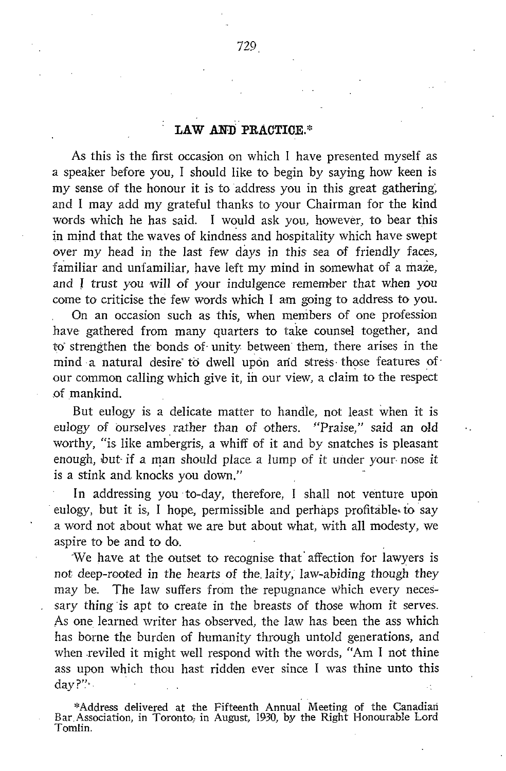## LAW AND PRACTICE.\*

As this is the first occasion on which <sup>I</sup> have presented myself as a speaker before you, <sup>I</sup> should like to begin by saying how keen is my sense of the honour it is to address you in this great gathering, and <sup>I</sup> may add my grateful thanks to your Chairman for the kind words which he has said. I would ask you, however, to bear this in mind that the waves of kindness and hospitality which have swept over my head in the last few days in this sea of friendly faces, familiar and unfamiliar, have left my mind in somewhat of <sup>a</sup> maze, and <sup>I</sup> trust you will of your indulgence remember that when you come to criticise the few words which <sup>I</sup> am going to address to you.

On an occasion such as this, when members of one profession have gathered from many quarters to take counsel together, and to strengthen the bonds of unity between them, there arises in the mind a natural desire to dwell upon and stress those features of our common calling which give it, in our view, a claim to the respect of mankind.

But eulogy is a delicate matter to handle, not least when it is eulogy of ourselves rather than of others. "Praise," said an old worthy, "is like ambergris, a whiff of it and by snatches is pleasant enough, but- if <sup>a</sup> man should place <sup>a</sup> lump of it under your- nose it is a stink and. knocks you down."

In addressing you to-day, therefore, <sup>I</sup> shall not venture upon eulogy, but it is, <sup>I</sup> hope, permissible and perhaps profitable to say a word not about what we are but about what, with all modesty, we aspire to be and to do. .

'We have at the outset to recognise that affection for lawyers is not deep-rooted in the hearts of the laity, law-abiding though they may be. The law suffers from the repugnance which every necessary thing is apt to create in the breasts of those whom it serves. As one learned writer has observed, the law has been the ass which has borne the burden of humanity through untold generations, and when reviled it might well respond with the words, "Am <sup>I</sup> not thine ass upon which thou hast ridden ever since I was thine unto this day?"

\*Address delivered at the Fifteenth Annual Meeting of the Canadian Bar. Association, in Toronto; in August, 1930, by the Right Honourable Lord Tomlin.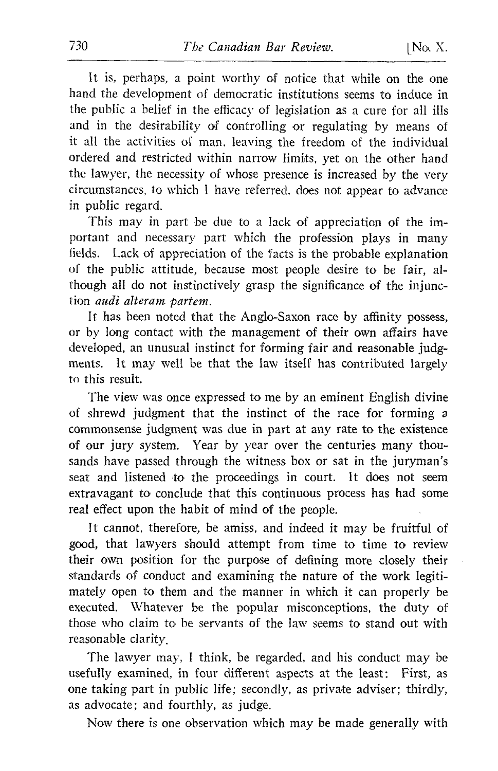It is, perhaps, a point worthy of notice that while on the one hand the development of democratic institutions seems to induce in the public a belief in the efficacy of legislation as a cure for all ills and in the desirability of controlling or regulating by means of it all the activities of man, leaving the freedom of the individual ordered and restricted within narrow limits, yet on the other hand the lawyer, the necessity of whose presence is increased by the very circumstances, to which <sup>I</sup> have referred, does not appear to advance in public regard.

This may in part be due to <sup>a</sup> lack of appreciation of the important and necessary part which the profession plays in many fields. Lack of appreciation of the facts is the probable explanation of the public attitude, because most people desire to be fair, although all do not instinctively grasp the significance of the injunction *audi alteram partem*.

It has been noted that the Anglo-Saxon race by affinity possess, or by long contact with the management of their own affairs have developed, an unusual instinct for forming fair and reasonable judg ments. It may well be that the law itself has contributed largely to this result.

The view was once expressed to me by an eminent English divine of shrewd judgment that the instinct of the race for forming <sup>a</sup> commonsense judgment was due in part at any rate to the existence of our jury system. Year by year over the centuries many thousands have passed through the witness box or sat in the juryman's seat and listened to the proceedings in court. It does not seem extravagant to conclude that this continuous process has had some real effect upon the habit of mind of the people.

It cannot, therefore, be amiss, and indeed it may be fruitful of good, that lawyers should attempt from time to time to review their own position for the purpose of defining more closely their standards of conduct and examining the nature of the work legitimately open to them and the manner in which it can properly be executed. Whatever be the popular misconceptions, the duty of those who claim to be servants of the law seems to stand out with reasonable clarity.

The lawyer may, <sup>I</sup> think, be regarded, and his conduct may be usefully examined, in four different aspects at the least: First, as one taking part in public life; secondly, as private adviser; thirdly, as advocate; and fourthly, as judge.

Now there is one observation which may be made generally with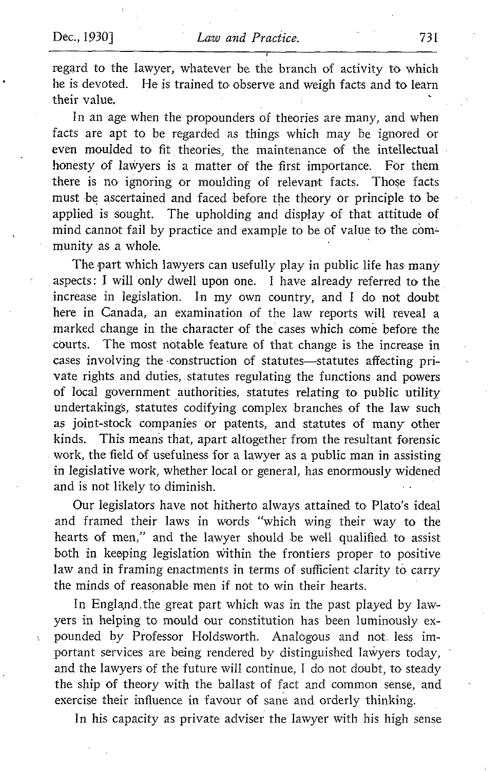Ň,

regard to the lawyer, whatever be the branch of activity to which<br>he is devoted. He is trained to observe and weigh facts and to learn He is trained to observe and weigh facts and to learn their value.

In an age when the propounders of theories are many, and when facts are apt to be regarded as things which may be ignored or even moulded to fit theories, the maintenance of the intellectual honesty of lawyers is a matter of the first importance. For them there is no ignoring or moulding of relevant facts. Those facts must be ascertained and faced before the theory or principle to be applied is sought. The upholding and display of that attitude of mind cannot fail by practice and example to be of value to the com= munity as a whole.

The part which lawyers can usefully play in public life has many aspects : <sup>I</sup> will only dwell upon one. <sup>I</sup> have already referred to the increase in legislation. In my own country, and <sup>I</sup> do not doubt here in Canada, an examination of the law reports will reveal a marked change in the character of the cases which come before the courts. The most notable feature of that change is the increase in cases involving the construction of statutes-statutes affecting private rights and duties, statutes regulating the functions and powers of local government authorities, statutes relating to public utility undertakings, statutes codifying complex branches of the law such as joint-stock companies or patents, and statutes of many other kinds. This means that, apart altogether from the resultant forensic work, the field of usefulness for a lawyer as <sup>a</sup> public man in assisting in legislative work, whether local or general, has enormously widened and is not likely to diminish.

Our legislators have not hitherto always attained to Plato's ideal and framed their laws in words "which wing their way to the hearts of men," and the lawyer should be well qualified to assist both in keeping legislation within the frontiers proper to positive law and in framing enactments in terms of sufficient clarity to carry the minds of reasonable men if not to win their hearts.

In England .the great part which was in the past played by lawyers in helping to mould our constitution has been luminously expounded by Professor Holdsworth. Analogous and not less im portant services are being rendered by distinguished lawyers today, and the lawyers of the future will continue, <sup>I</sup> do not doubt, to steady the ship of theory with the ballast of fact and common sense, and exercise their influence in favour of sane and orderly thinking.

In his capacity as private adviser the lawyer with his high sense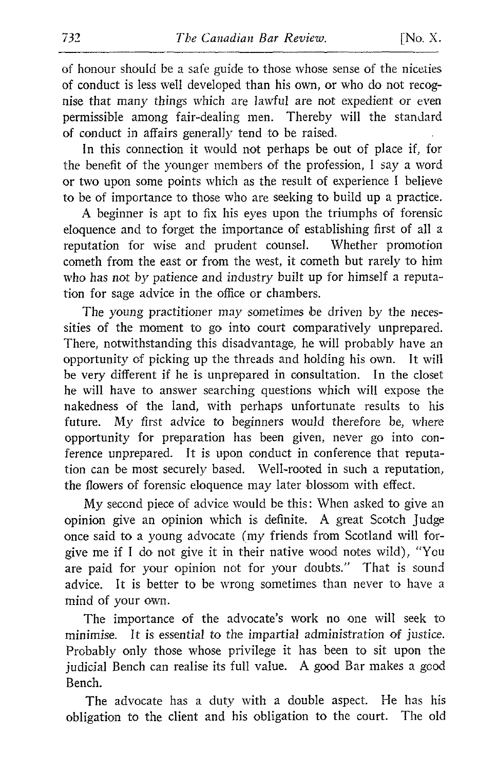of honour should be a safe guide to those whose sense of the niceties of conduct is less well developed than his own, or who do not recognise that many things which are lawful are not expedient or even permissible among fair-dealing men. Thereby will the standard of conduct in affairs generally tend to be raised.

In this connection it would not perhaps be out of place if, for the benefit of the younger members of the profession, <sup>I</sup> say a word or two upon some points which as the result of experience <sup>I</sup> believe to be of importance to those who are seeking to build up a practice.

A beginner is apt to fix his eyes upon the triumphs of forensic eloquence and to forget the importance of establishing first of all a reputation for wise and prudent counsel. cometh from the east or from the west, it cometh but rarely to him who has not by patience and industry built up for himself a reputation for sage advice in the office or chambers.

The young practitioner may sometimes be driven by the necessities of the moment to go into court comparatively unprepared. There, notwithstanding this disadvantage, he will probably have an opportunity of picking up the threads and holding his own. It will be very different if he is unprepared in consultation. In the closet he will have to answer searching questions which will expose the nakedness of the land, with perhaps unfortunate results to his future. My first advice to beginners would therefore be, where opportunity for preparation has been given, never go into conference unprepared. It is upon conduct in conference that reputation can be most securely based. Well-rooted in such a reputation, the flowers of forensic eloquence may later blossom with effect.

My second piece of advice would be this: When asked to give an opinion give an opinion which is definite. A great Scotch judge once said to a young advocate (my friends from Scotland will forgive me if <sup>I</sup> do not give it in their native wood notes wild), "You are paid for your opinion not for your doubts." That is sound advice. It is better to be wrong sometimes than never to have a mind of your own.

The importance of the advocate's work no one will seek to minimise. It is essential to the impartial administration of justice. Probably only those whose privilege it has been to sit upon the judicial Bench can realise its full value. A good Bar makes <sup>a</sup> good Bench.

The advocate has a duty with a double aspect. He has his obligation to the client and his obligation to the court. The old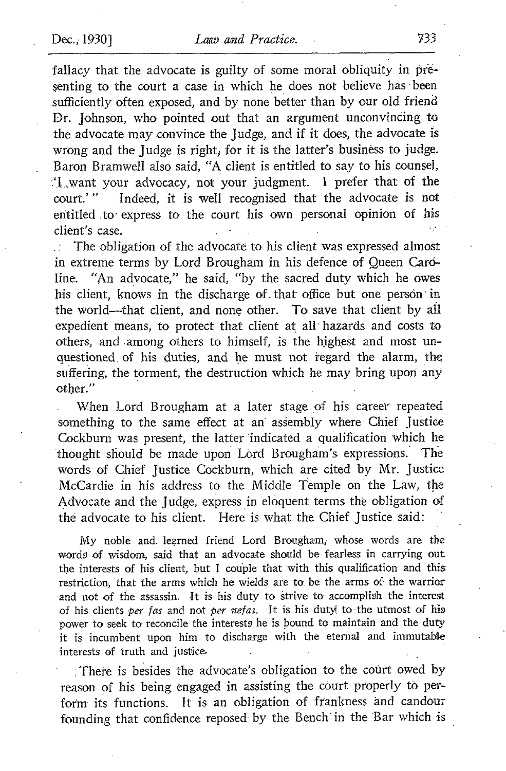fallacy that the advocate is guilty of some moral obliquity in presenting to the court a case in which he does not believe has been sufficiently often exposed, and by none better than by our old friend Dr. Johnson, who pointed out that an argument unconvincing to the advocate may convince the judge, and if it does, the advocate is wrong and the judge is right; for it is the tatter's business to judge. Baron Bramwell also said, "A client is entitled to say to his counsel, `I,want your advocacy, not your judgment. <sup>I</sup> prefer that of the Indeed, it is well recognised that the advocate is not entitled to express to the court his own personal opinion of his client's case .

The obligation of the advocate to his client was expressed almost in extreme terms by Lord Brougham in his defence of Queen Caroline. "An advocate," he said, "by the sacred duty which he owes his client, knows in the discharge of that office but one person in the world-that client, and none other. To save that client by all expedient means, to protect that client at all hazards and costs to others, and among others to himself, is the highest and most unquestioned of his duties, and he must not regard the alarm, the suffering, the torment, the destruction which he may bring upon any other."

When . Lord Brougham at a later stage of his career repeated something to the same effect at an assembly where Chief Justice Cockburn was present, the latter 'indicated a qualification which he thought sfiould be made upon Lord Brougham's expressions. The words of Chief Justice Cockburn, which are cited by Mr. Justice McCardie in his address to the Middle Temple on the Law, the Advocate and the judge, express in eloquent terms the obligation of the advocate to his client. Here is what the Chief Justice said:

My noble and. learned friend Lord Brougham, whose words are the words of wisdom, said that an advocate should be fearless in carrying out the interests of his client, but <sup>I</sup> couple that with this qualification and this restriction, that the arms which he wields are to. be the arms of the warrior and not of the assassin. It is his duty to strive to accomplish the interest of his clients per fas and not per nefas. It is his duty! to the utmost of his power to seek to reconcile the interests he is bound to maintain and the duty it is incumbent upon him to discharge with the eternal and immutable interests of truth and justice.

There is besides the advocate's obligation to the court owed by reason of his being engaged in assisting the court properly to, perform its functions. It is an obligation of frankness ànd candour founding that confidence reposed by the Bench in the Bar which is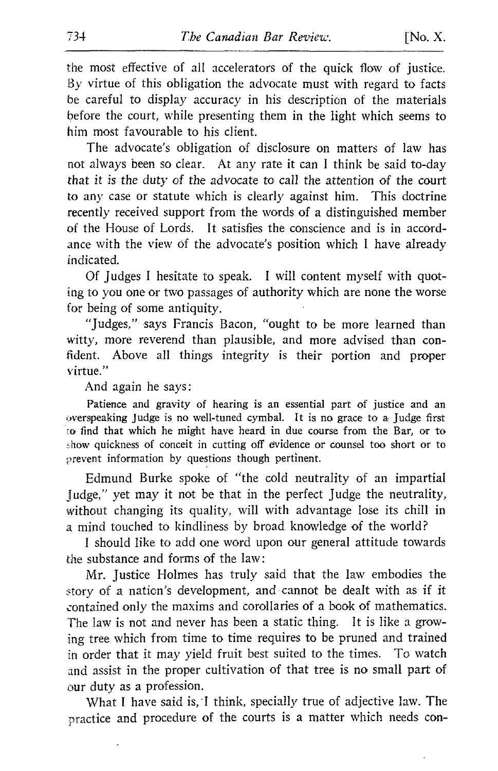the most effective of all accelerators of the quick flow of justice. By virtue of this obligation the advocate must with regard to facts be careful to display accuracy in his description of the materials before the court, while presenting them in the light which seems to him most favourable to his client.

The advocate's obligation of disclosure on matters of law has not always been so clear. At any rate it can <sup>I</sup> think be said to-day that it is the duty of the advocate to call the attention of the court to any case or statute which is clearly against him. This doctrine recently received support from the words of a distinguished member of the House of Lords. It satisfies the conscience and is in accordance with the view of the advocate's position which <sup>I</sup> have already indicated.

Of judges <sup>I</sup> hesitate to speak. <sup>I</sup> will content myself with quoting to you one or two passages of authority which are none the worse for being of some antiquity.

"Judges." says Francis Bacon, "ought to be more learned than witty, more reverend than plausible, and more advised than confident. Above all things integrity is their portion and proper virtue."

And again he says :

Patience and gravity of hearing is an essential part of justice and an overspeaking Judge is no well-tuned cymbal. It is no grace to a Judge first to find that which he might have heard in due course from the Bar, or to show quickness of conceit in cutting off evidence or counsel too short or to prevent information by questions though pertinent.

Edmund Burke spoke of "the cold neutrality of an impartial judge," yet may it not be that in the perfect judge the neutrality, without changing its quality, will with advantage lose its chill in <sup>a</sup> mind touched to kindliness by broad knowledge of the world?

<sup>I</sup> should like to add one word upon our general attitude towards the substance and forms of the law :

Mr. Justice Holmes has truly said that the law embodies the story of a nation's development, and cannot be dealt with as if it contained only the maxims and corollaries of <sup>a</sup> book of mathematics. The law is not and never has been a static thing. It is like a growing tree which from time to time requires to be pruned and trained in order that it may yield fruit best suited to the times. To watch and assist in the proper cultivation of that tree is no small part of our duty as a profession.

What <sup>I</sup> have said is,'I think, specially true of adjective law. The practice and procedure of the courts is a matter which needs con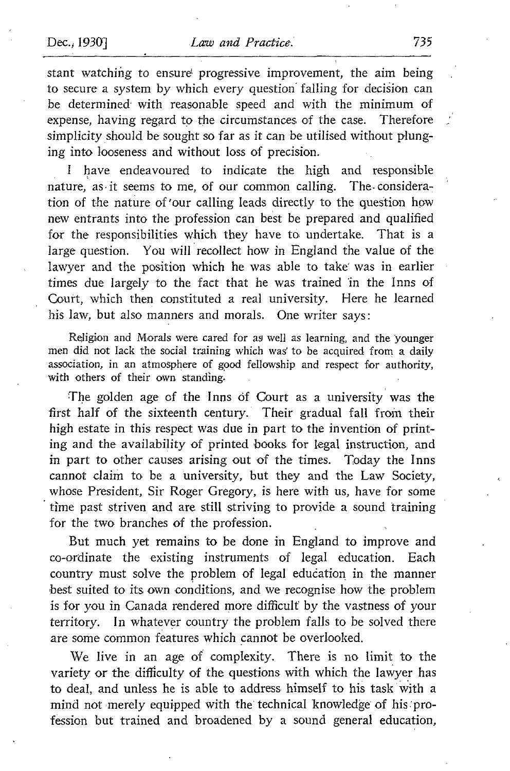stant watching to ensure progressive improvement, the aim being to secure a system by which every question falling for decision can be determined with reasonable speed and with the minimum of expense, having regard to the circumstances of the case. Therefore simplicity should be sought so far as it can be utilised without plunging into looseness and without loss of precision.

have endeavoured to indicate the high and responsible nature, as it seems to me, of our common calling. The consideration of the nature of'our calling leads directly to the question how new entrants into the profession can best be prepared and qualified for the responsibilities which they have to undertake. That is a large question. You will recollect how in England the value of the lawyer and the position which he was able to take was in earlier times due largely to the fact that he was trained 'in the Inns of Court, which then constituted a real university. Here he learned his law, but also manners and morals. One writer says:

Religion and Morals were cared for as well as learning, and the younger men did not lack the social training which was' to be acquired from a daily association, in an atmosphere of good fellowship and respect for authority, with others of their own standing.

The golden age of the Inns of Court as a university was the first half of the sixteenth century. Their gradual fall from their high estate in this respect was due in part to the invention of printing and the availability of printed books for legal instruction, and in part to other causes arising out of the times. Today the Inns cannot claim to be a university, but they and the Law Society, whose President, Sir Roger Gregory, is here with us, have for some time past striven and are still striving to provide a sound training for the two branches of the profession.

But much yet remains to be done in England to improve and co-ardinate the existing instruments of legal education. Each country must solve the problem of legal education in the manner best suited to its own conditions, and we recognise how the problem is for you in Canada rendered more difficult by the vastness of your territory. In whatever country the problem falls to be solved there are some common features which cannot be overlooked.

We live in an age of complexity. There is no limit to the variety or the difficulty of the questions with which the lawyer has to deal, and unless he is able to address himself to his task with a mind not merely equipped with the technical knowledge of his profession but trained and broadened by a sound general education,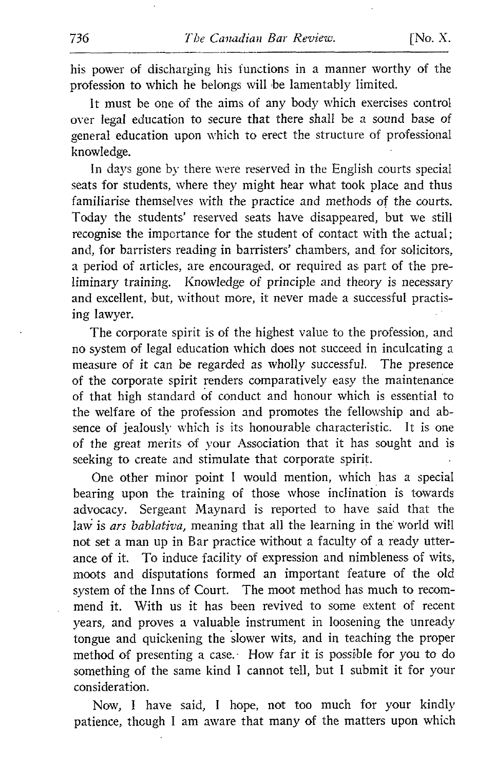his power of discharging his functions in a manner worthy of the profession to which he belongs will be lamentably limited.

It must be one of the aims of any body which exercises control over legal education to secure that there shall be a sound base of general education upon which to erect the structure of professional knowledge.

In days gone by there were reserved in the English courts special seats for students, where they might hear what took place and thus familiarise themselves with the practice and methods of the courts. Today the students' reserved seats have disappeared, but we still recognise the importance for the student of contact with the actual ; and, for barristers reading in barristers' chambers, and for solicitors, a period of articles, are encouraged, or required as part of the preliminary training. Knowledge of principle and theory is necessary and excellent, but, without more, it never made <sup>a</sup> successful practising lawyer.

The corporate spirit is of the highest value to the profession, and no system of legal education which does not succeed in inculcating a measure of it can be regarded as wholly successful. The presence of the corporate spirit renders comparatively easy the maintenance of that high standard of conduct and honour which is essential to the welfare of the profession and promotes the fellowship and absence of jealously which is its honourable characteristic. It is one of the great merits of your Association that it has sought and is seeking to create and stimulate that corporate spirit.

One other minor point <sup>I</sup> would mention, which has a special bearing upon the training of those whose inclination is towards advocacy. Sergeant Maynard is reported to have said that the law is ars bablativa, meaning that all the learning in the world will not set a man up in Bar practice without <sup>a</sup> faculty of <sup>a</sup> ready utterance of it. To induce facility of expression and nimbleness of wits, moots and disputations formed an important feature of the old system of the Inns of Court. The moot method has much to recommend it. With us it has been revived to some extent of recent years, and proves a valuable instrument in loosening the unready tongue and quickening the slower wits, and in teaching the proper method of presenting a case. How far it is possible for you to do something of the same kind <sup>I</sup> cannot tell, but <sup>I</sup> submit it for your consideration.

Now, <sup>I</sup> have said, <sup>I</sup> hope, not too much for your kindly patience, though <sup>I</sup> am aware that many of the matters upon which